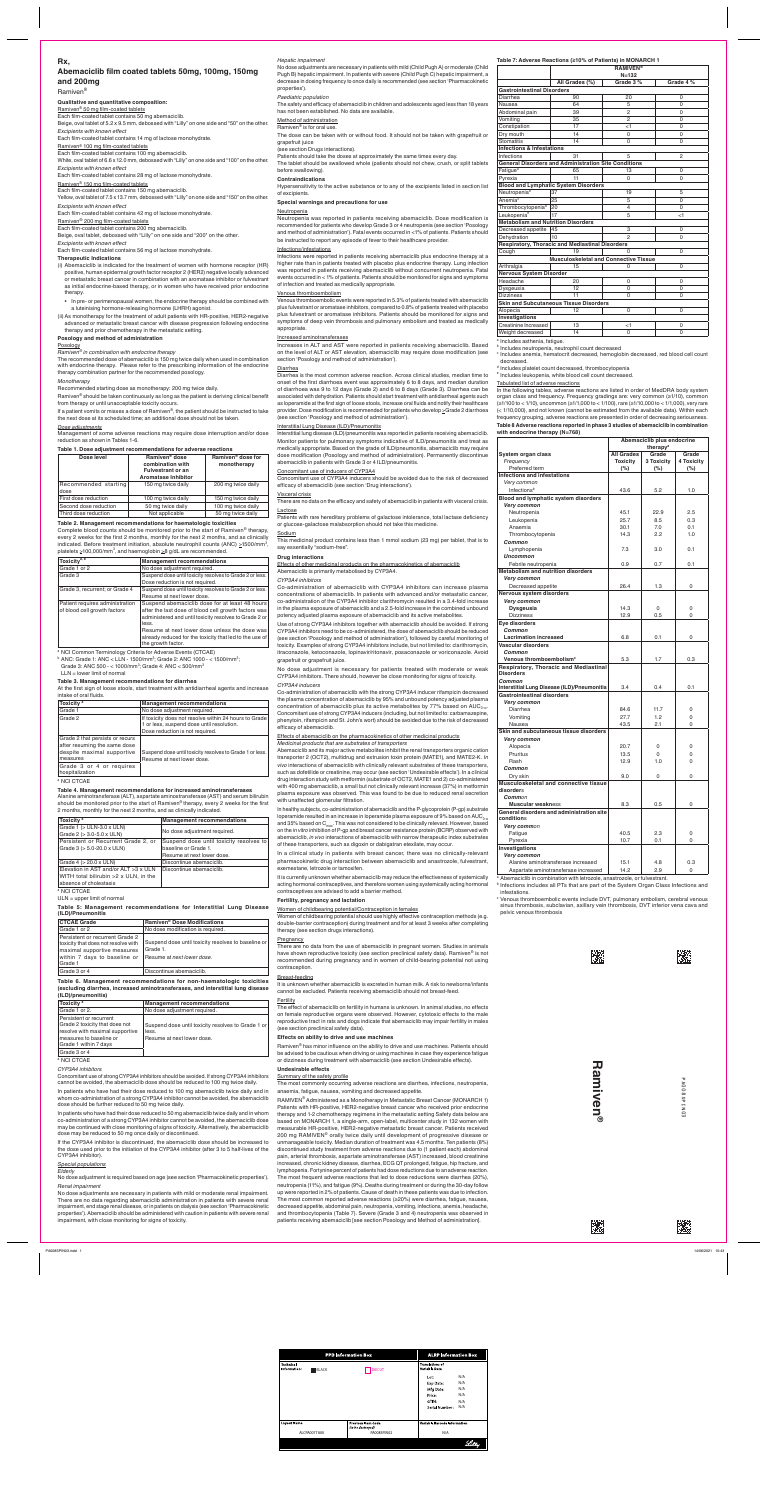# **Rx,**

# **Abemaciclib film coated tablets 50mg, 100mg, 150mg and 200mg**

Ramiven®

### **Qualitative and quantitative composition:**

Ramiven® 50 mg film-coated tablets

Each film-coated tablet contains 100 mg abemaciclib. White, oval tablet of 6.6 x 12.0 mm, debossed with "Lilly" on one side and "100" on the other.

Each film-coated tablet contains 50 mg abemaciclib. Beige, oval tablet of 5.2 x 9.5 mm, debossed with "Lilly" on one side and "50" on the other.

*Excipients with known effect*

Each film-coated tablet contains 14 mg of lactose monohydrate.

## Ramiven® 100 mg film-coated tablets

# *Excipients with known effect*

Each film-coated tablet contains 28 mg of lactose monohydrate.

# Ramiven® 150 mg film-coated tablets

Each film-coated tablet contains 150 mg abemaciclib. Yellow, oval tablet of 7.5 x 13.7 mm, debossed with "Lilly" on one side and "150" on the other.

# *Excipients with known effect*

Each film-coated tablet contains 42 mg of lactose monohydrate.

# Ramiven® 200 mg film-coated tablets

Each film-coated tablet contains 200 mg abemaciclib. Beige, oval tablet, debossed with "Lilly" on one side and "200" on the other.

*Excipients with known effect*

Each film-coated tablet contains 56 mg of lactose monohydrate.

### **Therapeutic Indications**

Ramiven<sup>®</sup> should be taken continuously as long as the patient is deriving clinical benefit from therapy or until unacceptable toxicity occurs.

- (i) Abemaciclib is indicated for the treatment of women with hormone receptor (HR) positive, human epidermal growth factor receptor 2 (HER2) negative locally advanced or metastatic breast cancer in combination with an aromatase inhibitor or fulvestrant as initial endocrine-based therapy, or in women who have received prior endocrine therapy.
- In pre- or perimenopausal women, the endocrine therapy should be combined with a luteinising hormone-releasing hormone (LHRH) agonist.
- (ii) As monotherapy for the treatment of adult patients with HR-positive, HER2-negative advanced or metastatic breast cancer with disease progression following endocrine therapy and prior chemotherapy in the metastatic setting.

# **Posology and method of administration**

Posology

# *Ramiven® in combination with endocrine therapy*

The recommended dose of abemaciclib is 150 mg twice daily when used in combination with endocrine therapy. Please refer to the prescribing information of the endocrine therapy combination partner for the recommended posology.

### *Monotherapy*

Recommended starting dose as monotherapy: 200 mg twice daily.

If a patient vomits or misses a dose of Ramiven®, the patient should be instructed to take the next dose at its scheduled time; an additional dose should not be taken.

### *Dose adjustments*

Management of some adverse reactions may require dose interruption and/or dose reduction as shown in Tables 1-6.

### **Table 1. Dose adjustment recommendations for adverse reactions**

| Dose level                   | Ramiven <sup>®</sup> dose<br>combination with<br><b>Fulvestrant or an</b><br><b>Aromatase Inhibitor</b> |                    |
|------------------------------|---------------------------------------------------------------------------------------------------------|--------------------|
| Recommended starting<br>dose | 150 mg twice daily                                                                                      | 200 mg twice daily |
| First dose reduction         | 100 mg twice daily                                                                                      | 150 mg twice daily |
| Second dose reduction        | 50 mg twice daily                                                                                       | 100 mg twice daily |
| Third dose reduction         | Not applicable                                                                                          | 50 mg twice daily  |

## **Table 2. Management recommendations for haematologic toxicities**

Complete blood counts should be monitored prior to the start of Ramiven<sup>®</sup> therapy, every 2 weeks for the first 2 months, monthly for the next 2 months, and as clinically indicated. Before treatment initiation, absolute neutrophil counts (ANC)  $\geq$ 1500/mm<sup>3</sup>,

| Toxicity <sup>a, b</sup>                                        | <b>Management recommendations</b>                                                                                                                                                                                                                                                                           |
|-----------------------------------------------------------------|-------------------------------------------------------------------------------------------------------------------------------------------------------------------------------------------------------------------------------------------------------------------------------------------------------------|
| Grade 1 or 2                                                    | No dose adjustment required.                                                                                                                                                                                                                                                                                |
| Grade 3                                                         | Suspend dose until toxicity resolves to Grade 2 or less.<br>Dose reduction is not required.                                                                                                                                                                                                                 |
| Grade 3, recurrent; or Grade 4                                  | Suspend dose until toxicity resolves to Grade 2 or less.<br>Resume at next lower dose.                                                                                                                                                                                                                      |
| Patient requires administration<br>of blood cell growth factors | Suspend abemaciclib dose for at least 48 hours<br>after the last dose of blood cell growth factors was<br>administered and until toxicity resolves to Grade 2 or<br>less.<br>Resume at next lower dose unless the dose was<br>already reduced for the toxicity that led to the use of<br>the growth factor. |

<sup>a</sup> NCI Common Terminology Criteria for Adverse Events (CTCAE)  $^{\rm b}$  ANC: Grade 1: ANC < LLN - 1500/mm $^{\rm 3}$ ; Grade 2: ANC 1000 - < 1500/mm $^{\rm 3}$ ; Grade 3: ANC 500 -  $<$  1000/mm<sup>3</sup>; Grade 4: ANC  $<$  500/mm<sup>3</sup> LLN = lower limit of normal

### **Table 3. Management recommendations for diarrhea**

At the first sign of loose stools, start treatment with antidiarrheal agents and increase intake of oral fluids.

| Toxicity <sup>a</sup>                                                                                                                                    | <b>Management recommendations</b>                                                                                                     |
|----------------------------------------------------------------------------------------------------------------------------------------------------------|---------------------------------------------------------------------------------------------------------------------------------------|
| Grade 1                                                                                                                                                  | No dose adjustment required.                                                                                                          |
| Grade 2                                                                                                                                                  | If toxicity does not resolve within 24 hours to Grade<br>1 or less, suspend dose until resolution.<br>Dose reduction is not required. |
| Grade 2 that persists or recurs<br>after resuming the same dose<br>despite maximal supportive<br>measures<br>Grade 3 or 4 or requires<br>hospitalization | Suspend dose until toxicity resolves to Grade 1 or less.<br>Resume at next lower dose.                                                |

#### <sup>a</sup> NCI CTCAE

**Table 4. Management recommendations for increased aminotransferases** Alanine aminotransferase (ALT), aspartate aminostransferase (AST) and serum bilirubin should be monitored prior to the start of Ramiven<sup>®</sup> therapy, every 2 weeks for the first 2 months, monthly for the next 2 months, and as clinically indicated.

| Toxicity <sup>a</sup>                        | <b>Management recommendations</b>       |
|----------------------------------------------|-----------------------------------------|
| Grade $1$ ( $>$ ULN-3.0 x ULN)               | No dose adjustment required.            |
| Grade 2 (> 3.0-5.0 x ULN)                    |                                         |
| Persistent or Recurrent Grade 2, or          | Suspend dose until toxicity resolves to |
| Grade 3 (> 5.0-20.0 x ULN)                   | baseline or Grade 1.                    |
|                                              | Resume at next lower dose.              |
| Grade $4$ ( $> 20.0$ x ULN)                  | Discontinue abemaciclib.                |
| Elevation in AST and/or $ALT > 3 \times ULN$ | Discontinue abemaciclib.                |
| WITH total bilirubin $>2$ x ULN, in the      |                                         |
| absence of cholestasis                       |                                         |

<sup>a</sup> NCI CTCAE

ULN = upper limit of normal

**Table 5: Management recommendations for Interstitial Lung Disease (ILD)/Pneumonitis**

| <b>CTCAE Grade</b>                                                                                                                               | <b>Ramiven<sup>®</sup> Dose Modifications</b>                                                 |
|--------------------------------------------------------------------------------------------------------------------------------------------------|-----------------------------------------------------------------------------------------------|
| Grade 1 or 2                                                                                                                                     | No dose modification is required.                                                             |
| Persistent or recurrent Grade 2<br>toxicity that does not resolve with<br>maximal supportive measures<br>within 7 days to baseline or<br>Grade 1 | Suspend dose until toxicity resolves to baseline or<br>Grade 1.<br>Resume at next lower dose. |
| Grade 3 or 4                                                                                                                                     | Discontinue abemaciclib.                                                                      |

Effects of other medicinal products on the pharmacokinetics of abemaciclib Abemaciclib is primarily metabolised by CYP3A4.

**Table 6. Management recommendations for non-haematologic toxicities (excluding diarrhea, increased aminotransferases, and interstitial lung disease (ILD)/pneumonitis)**

| <b>Management recommendations</b>                  |
|----------------------------------------------------|
| No dose adjustment required.                       |
|                                                    |
| Suspend dose until toxicity resolves to Grade 1 or |
| less.                                              |
| Resume at next lower dose.                         |
|                                                    |
|                                                    |
|                                                    |

### <sup>a</sup> NCI CTCAE

### *CYP3A4 inhibitors*

Concomitant use of strong CYP3A4 inhibitors should be avoided. If strong CYP3A4 inhibitors cannot be avoided, the abemaciclib dose should be reduced to 100 mg twice daily.

In patients who have had their dose reduced to 100 mg abemaciclib twice daily and in whom co-administration of a strong CYP3A4 inhibitor cannot be avoided, the abemaciclib dose should be further reduced to 50 mg twice daily.

In patients who have had their dose reduced to 50 mg abemaciclib twice daily and in whom co-administration of a strong CYP3A4 inhibitor cannot be avoided, the abemaciclib dose may be continued with close monitoring of signs of toxicity. Alternatively, the abemaciclib dose may be reduced to 50 mg once daily or discontinued.

If the CYP3A4 inhibitor is discontinued, the abemaciclib dose should be increased to the dose used prior to the initiation of the CYP3A4 inhibitor (after 3 to 5 half-lives of the CYP3A4 inhibitor).

### *Special populations*

*Elderly*

No dose adjustment is required based on age (see section 'Pharmacokinetic properties'). *Renal impairment*

No dose adjustments are necessary in patients with mild or moderate renal impairment. There are no data regarding abemaciclib administration in patients with severe renal impairment, end stage renal disease, or in patients on dialysis (see section 'Pharmacokinetic properties'). Abemaciclib should be administered with caution in patients with severe renal impairment, with close monitoring for signs of toxicity.

### *Hepatic impairment*

No dose adjustments are necessary in patients with mild (Child Pugh A) or moderate (Child Pugh B) hepatic impairment. In patients with severe (Child Pugh C) hepatic impairment, a decrease in dosing frequency to once daily is recommended (see section 'Pharmacokinetic properties').

### *Paediatric population*

The safety and efficacy of abemaciclib in children and adolescents aged less than 18 years has not been established. No data are available.

### Method of administration

Ramiven® is for oral use.

The dose can be taken with or without food. It should not be taken with grapefruit or grapefruit juice

### (see section Drugs interactions).

Patients should take the doses at approximately the same times every day. The tablet should be swallowed whole (patients should not chew, crush, or split tablets

before swallowing).

### **Contraindications**

Hypersensitivity to the active substance or to any of the excipients listed in section list of excipients.

### **Special warnings and precautions for use**

### Neutropenia

Neutropenia was reported in patients receiving abemaciclib. Dose modification is recommended for patients who develop Grade 3 or 4 neutropenia (see section 'Posology and method of administration'). Fatal events occurred in <1% of patients. Patients should be instructed to report any episode of fever to their healthcare provider.

### Infections/infestations

Infections were reported in patients receiving abemaciclib plus endocrine therapy at a higher rate than in patients treated with placebo plus endocrine therapy. Lung infection was reported in patients receiving abemaciclib without concurrent neutropenia. Fatal events occurred in < 1% of patients. Patients should be monitored for signs and symptoms of infection and treated as medically appropriate.

> $\textdegree$  Includes anemia, hematocrit decreased, hemoglobin decreased, red blood cell count decreased.

- d Includes platelet count decreased, thrombocytopenia
- <sup>e</sup> Includes leukopenia, white blood cell count decreased.

### Venous thromboembolism

Venous thromboembolic events were reported in 5.3% of patients treated with abemaciclib plus fulvestrant or aromatase inhibitors, compared to 0.8% of patients treated with placebo plus fulvestrant or aromatase inhibitors. Patients should be monitored for signs and symptoms of deep vein thrombosis and pulmonary embolism and treated as medically appropriate.

### Increased aminotransferases

Increases in ALT and AST were reported in patients receiving abemaciclib. Based on the level of ALT or AST elevation, abemaciclib may require dose modification (see section 'Posology and method of administration').

### **Diarrhea**

Diarrhea is the most common adverse reaction. Across clinical studies, median time to onset of the first diarrhoea event was approximately 6 to 8 days, and median duration of diarrhoea was 9 to 12 days (Grade 2) and 6 to 8 days (Grade 3). Diarrhea can be associated with dehydration. Patients should start treatment with antidiarrheal agents such as loperamide at the first sign of loose stools, increase oral fluids and notify their healthcare provider. Dose modification is recommended for patients who develop  $\geq$  Grade 2 diarrhoea (see section 'Posology and method of administration').

> $\textdegree$  Infections includes all PTs that are part of the System Organ Class Infections and infestations.

> $\textdegree$  Venous thromboembolic events include DVT, pulmonary embolism, cerebral venous sinus thrombosis, subclavian, axillary vein thrombosis, DVT inferior vena cava and pelvic venous thrombosis





Ram **Ramiven**

ЪA PA008SPIN03  $\overline{\bullet}$ 

**SSPIND3** 

蹨

### Interstitial Lung Disease (ILD)/Pneumonitis

Interstitial lung disease (ILD)/pneumonitis was reported in patients receiving abemaciclib. Monitor patients for pulmonary symptoms indicative of ILD/pneumonitis and treat as medically appropriate. Based on the grade of ILD/pneumonitis, abemaciclib may require dose modification (Posology and method of administration). Permanently discontinue abemaciclib in patients with Grade 3 or 4 ILD/pneumonitis.

### Concomitant use of inducers of CYP3A4

Concomitant use of CYP3A4 inducers should be avoided due to the risk of decreased efficacy of abemaciclib (see section 'Drug interactions').

### Visceral crisis

There are no data on the efficacy and safety of abemaciclib in patients with visceral crisis. Lactose

Patients with rare hereditary problems of galactose intolerance, total lactase deficiency or glucose-galactose malabsorption should not take this medicine.

### **Sodium**

This medicinal product contains less than 1 mmol sodium (23 mg) per tablet, that is to

say essentially "sodium-free".

### **Drug interactions**

### *CYP3A4 inhibitors*

Co-administration of abemaciclib with CYP3A4 inhibitors can increase plasma concentrations of abemaciclib. In patients with advanced and/or metastatic cancer, co-administration of the CYP3A4 inhibitor clarithromycin resulted in a 3.4-fold increase in the plasma exposure of abemaciclib and a 2.5-fold increase in the combined unbound potency adjusted plasma exposure of abemaciclib and its active metabolites.

Use of strong CYP3A4 inhibitors together with abemaciclib should be avoided. If strong CYP3A4 inhibitors need to be co-administered, the dose of abemaciclib should be reduced (see section 'Posology and method of administration'), followed by careful monitoring of toxicity. Examples of strong CYP3A4 inhibitors include, but not limited to: clarithromycin, itraconazole, ketoconazole, lopinavir/ritonavir, posaconazole or voriconazole. Avoid grapefruit or grapefruit juice.

No dose adjustment is necessary for patients treated with moderate or weak CYP3A4 inhibitors. There should, however be close monitoring for signs of toxicity.

### *CYP3A4 inducers*

Co-administration of abemaciclib with the strong CYP3A4 inducer rifampicin decreased the plasma concentration of abemaciclib by 95% and unbound potency adjusted plasma concentration of abemaciclib plus its active metabolites by 77% based on  $AUC_{0-\infty}$ . Concomitant use of strong CYP3A4 inducers (including, but not limited to: carbamazepine, phenytoin, rifampicin and St. John's wort) should be avoided due to the risk of decreased efficacy of abemaciclib.

Effects of abemaciclib on the pharmacokinetics of other medicinal products *Medicinal products that are substrates of transporters*

Abemaciclib and its major active metabolites inhibit the renal transporters organic cation transporter 2 (OCT2), multidrug and extrusion toxin protein (MATE1), and MATE2-K. *In vivo* interactions of abemaciclib with clinically relevant substrates of these transporters, such as dofetilide or creatinine, may occur (see section 'Undesirable effects'). In a clinical drug interaction study with metformin (substrate of OCT2, MATE1 and 2) co-administered with 400 mg abemaciclib, a small but not clinically relevant increase (37%) in metformin plasma exposure was observed. This was found to be due to reduced renal secretion with unaffected glomerular filtration.

In healthy subjects, co-administration of abemaciclib and the P-glycoprotein (P-gp) substrate loperamide resulted in an increase in loperamide plasma exposure of 9% based on  $AUC_{0\ldots}$ and 35% based on  $C_{\text{max}}$ . This was not considered to be clinically relevant. However, based on the *in vitro* inhibition of P-gp and breast cancer resistance protein (BCRP) observed with abemaciclib, *in vivo* interactions of abemaciclib with narrow therapeutic index substrates of these transporters, such as digoxin or dabigatran etexilate, may occur.

In a clinical study in patients with breast cancer, there was no clinically-relevant pharmacokinetic drug interaction between abemaciclib and anastrozole, fulvestrant, exemestane, letrozole or tamoxifen.

It is currently unknown whether abemaciclib may reduce the effectiveness of systemically acting hormonal contraceptives, and therefore women using systemically acting hormonal contraceptives are advised to add a barrier method.

### **Fertility, pregnancy and lactation**

Women of childbearing potential/Contraception in females Women of childbearing potential should use highly effective contraception methods (e.g.

double-barrier contraception) during treatment and for at least 3 weeks after completing therapy (see section drugs interactions).

### **Pregnancy**

There are no data from the use of abemaciclib in pregnant women. Studies in animals have shown reproductive toxicity (see section preclinical safety data). Ramiven<sup>®</sup> is not recommended during pregnancy and in women of child-bearing potential not using contraception.

### Breast-feeding

It is unknown whether abemaciclib is excreted in human milk. A risk to newborns/infants cannot be excluded. Patients receiving abemaciclib should not breast-feed.

#### Fertility

The effect of abemaciclib on fertility in humans is unknown. In animal studies, no effects on female reproductive organs were observed. However, cytotoxic effects to the male reproductive tract in rats and dogs indicate that abemaciclib may impair fertility in males (see section preclinical safety data).

### **Effects on ability to drive and use machines**

Ramiven® has minor influence on the ability to drive and use machines. Patients should be advised to be cautious when driving or using machines in case they experience fatigue or dizziness during treatment with abemaciclib (see section Undesirable effects).

# **Undesirable effects**

# Summary of the safety profile

The most commonly occurring adverse reactions are diarrhea, infections, neutropenia,

a Abemaciclib in combination with letrozole, anastrozole, or fulvestrant.

anaemia, fatigue, nausea, vomiting and decreased appetite.

RAMIVEN® Administered as a Monotherapy in Metastatic Breast Cancer (MONARCH 1) Patients with HR-positive, HER2-negative breast cancer who received prior endocrine therapy and 1-2 chemotherapy regimens in the metastatic setting Safety data below are based on MONARCH 1, a single-arm, open-label, multicenter study in 132 women with measurable HR-positive, HER2-negative metastatic breast cancer. Patients received 200 mg RAMIVEN® orally twice daily until development of progressive disease or unmanageable toxicity. Median duration of treatment was 4.5 months. Ten patients (8%) discontinued study treatment from adverse reactions due to (1 patient each) abdominal pain, arterial thrombosis, aspartate aminotransferase (AST) increased, blood creatinine increased, chronic kidney disease, diarrhea, ECG QT prolonged, fatigue, hip fracture, and lymphopenia. Fortynine percent of patients had dose reductions due to an adverse reaction. The most frequent adverse reactions that led to dose reductions were diarrhea (20%), neutropenia (11%), and fatigue (9%). Deaths during treatment or during the 30-day follow up were reported in 2% of patients. Cause of death in these patients was due to infection. The most common reported adverse reactions (≥20%) were diarrhea, fatigue, nausea, decreased appetite, abdominal pain, neutropenia, vomiting, infections, anemia, headache, and thrombocytopenia (Table 7). Severe (Grade 3 and 4) neutropenia was observed in patients receiving abemaciclib [see section Posology and Method of administration].

### **Table 7: Adverse Reactions (≥10% of Patients) in MONARCH 1**

|                                             | <b>RAMIVEN®</b><br>N=132                                    |                                              |                |  |  |  |  |  |
|---------------------------------------------|-------------------------------------------------------------|----------------------------------------------|----------------|--|--|--|--|--|
|                                             | All Grades (%)                                              | Grade 3 %                                    | Grade 4 %      |  |  |  |  |  |
| <b>Gastrointestinal Disorders</b>           |                                                             |                                              |                |  |  |  |  |  |
| Diarrhea                                    | 90                                                          | 20                                           | 0              |  |  |  |  |  |
| Nausea                                      | 64                                                          | 5                                            | 0              |  |  |  |  |  |
| Abdominal pain                              | 39                                                          | 2                                            | 0              |  |  |  |  |  |
| Vomiting                                    | 35                                                          | 2                                            | 0              |  |  |  |  |  |
| Constipation                                | 17                                                          | <1                                           | 0              |  |  |  |  |  |
| Dry mouth                                   | 14                                                          | 0                                            | 0              |  |  |  |  |  |
| <b>Stomatitis</b>                           | 14                                                          | 0                                            | 0              |  |  |  |  |  |
| <b>Infections &amp; Infestations</b>        |                                                             |                                              |                |  |  |  |  |  |
| Infections                                  | 31                                                          | 5                                            | $\overline{c}$ |  |  |  |  |  |
|                                             | <b>General Disorders and Administration Site Conditions</b> |                                              |                |  |  |  |  |  |
| Fatigue <sup>a</sup>                        | 65                                                          | 13                                           | 0              |  |  |  |  |  |
| Pyrexia                                     | 11                                                          | 0                                            | 0              |  |  |  |  |  |
| <b>Blood and Lymphatic System Disorders</b> |                                                             |                                              |                |  |  |  |  |  |
| Neutropenia <sup>b</sup>                    | 37                                                          | 19                                           | 5              |  |  |  |  |  |
| Anemia <sup>c</sup>                         | 25                                                          | 5                                            | 0              |  |  |  |  |  |
| Thrombocytopenia <sup>d</sup>               | 20                                                          | 4                                            |                |  |  |  |  |  |
| Leukopenia <sup>e</sup>                     | 17                                                          | 5                                            | $<$ 1          |  |  |  |  |  |
| <b>Metabolism and Nutrition Disorders</b>   |                                                             |                                              |                |  |  |  |  |  |
| Decreased appetite                          | 45                                                          | 3                                            | 0              |  |  |  |  |  |
| Dehydration                                 | 10                                                          | $\overline{2}$                               | 0              |  |  |  |  |  |
|                                             | <b>Respiratory, Thoracic and Mediastinal Disorders</b>      |                                              |                |  |  |  |  |  |
| Cough                                       | 19                                                          | $\Omega$                                     | 0              |  |  |  |  |  |
|                                             |                                                             | <b>Musculoskeletal and Connective Tissue</b> |                |  |  |  |  |  |
| Arthralgia                                  | 15                                                          | 0                                            | 0              |  |  |  |  |  |
| <b>Nervous System Disorder</b>              |                                                             |                                              |                |  |  |  |  |  |
| Headache                                    | 20                                                          | 0                                            | 0              |  |  |  |  |  |
| Dysgeusia                                   | 12                                                          | 0                                            | 0              |  |  |  |  |  |
| <b>Dizziness</b>                            | 11                                                          | 0                                            | 0              |  |  |  |  |  |
|                                             | <b>Skin and Subcutaneous Tissue Disorders</b>               |                                              |                |  |  |  |  |  |
| Alopecia                                    | 12                                                          | 0                                            | 0              |  |  |  |  |  |
| Investigations                              |                                                             |                                              |                |  |  |  |  |  |
| Creatinine Increased                        | 13                                                          | <1                                           | 0              |  |  |  |  |  |
| Weight decreased                            | 14                                                          | 0                                            | 0              |  |  |  |  |  |

### <sup>a</sup> Includes asthenia, fatigue.

**b** Includes neutropenia, neutrophil count decreased

### Tabulated list of adverse reactions

In the following tables, adverse reactions are listed in order of MedDRA body system organ class and frequency. Frequency gradings are: very common (≥1/10), common (≥1/100 to < 1/10), uncommon (≥1/1,000 to < 1/100), rare (≥1/10,000 to < 1/1,000), very rare (< 1/10,000), and not known (cannot be estimated from the available data). Within each frequency grouping, adverse reactions are presented in order of decreasing seriousness.

### **Table 8 Adverse reactions reported in phase 3 studies of abemaciclib in combination with endocrine therapy (N=768)**

|                                                    |                   |                      | Abemaciclib plus endocrine |  |  |
|----------------------------------------------------|-------------------|----------------------|----------------------------|--|--|
|                                                    |                   | therapy <sup>a</sup> |                            |  |  |
| <b>System organ class</b>                          | <b>All Grades</b> | Grade                | Grade                      |  |  |
| Frequency                                          | <b>Toxicity</b>   | 3 Toxicity           | <b>4 Toxicity</b>          |  |  |
| Preferred term                                     | (%)               | $(\%)$               | $(\%)$                     |  |  |
| Infections and infestations                        |                   |                      |                            |  |  |
| Very common                                        |                   |                      |                            |  |  |
| Infections <sup>b</sup>                            | 43.6              | 5.2                  | 1.0                        |  |  |
| <b>Blood and lymphatic system disorders</b>        |                   |                      |                            |  |  |
| Very common                                        |                   |                      |                            |  |  |
| Neutropenia                                        | 45.1              | 22.9                 | $2.5\,$                    |  |  |
| Leukopenia                                         | 25.7              | 8.5                  | 0.3                        |  |  |
| Anaemia                                            | 30.1              | 7.0                  | 0.1                        |  |  |
| Thrombocytopenia                                   | 14.3              | 2.2                  | 1.0                        |  |  |
| Common                                             |                   |                      |                            |  |  |
| Lymphopenia                                        | 7.3               | 3.0                  | 0.1                        |  |  |
| <b>Uncommon</b>                                    |                   |                      |                            |  |  |
| Febrile neutropenia                                | 0.9               | 0.7                  | 0.1                        |  |  |
| <b>Metabolism and nutrition disorders</b>          |                   |                      |                            |  |  |
| Very common                                        |                   |                      |                            |  |  |
| Decreased appetite                                 | 26.4              | 1.3                  | 0                          |  |  |
| <b>Nervous system disorders</b>                    |                   |                      |                            |  |  |
|                                                    |                   |                      |                            |  |  |
| Very common                                        |                   |                      |                            |  |  |
| <b>Dysgeusia</b>                                   | 14.3              | 0                    | 0                          |  |  |
| <b>Dizziness</b>                                   | 12.9              | 0.5                  | $\Omega$                   |  |  |
| Eye disorders                                      |                   |                      |                            |  |  |
| Common                                             |                   |                      |                            |  |  |
| <b>Lacrimation increased</b>                       | 6.8               | 0.1                  | 0                          |  |  |
| Vascular disorders                                 |                   |                      |                            |  |  |
| Common                                             |                   |                      |                            |  |  |
| Venous thromboembolism <sup>c</sup>                | 5.3               | 1.7                  | 0.3                        |  |  |
| <b>Respiratory, Thoracic and Mediastinal</b>       |                   |                      |                            |  |  |
| <b>Disorders</b>                                   |                   |                      |                            |  |  |
| Common                                             |                   |                      |                            |  |  |
| <b>Interstitial Lung Disease (ILD)/Pneumonitis</b> | 3.4               | 0.4                  | 0.1                        |  |  |
| <b>Gastrointestinal disorders</b>                  |                   |                      |                            |  |  |
| <b>Verv common</b>                                 |                   |                      |                            |  |  |
| Diarrhea                                           | 84.6              | 11.7                 | 0                          |  |  |
| Vomiting                                           | 27.7              | 1.2                  | 0                          |  |  |
| Nausea                                             | 43.5              | 2.1                  | 0                          |  |  |
| Skin and subcutaneous tissue disorders             |                   |                      |                            |  |  |
| Very common                                        |                   |                      |                            |  |  |
| Alopecia                                           | 20.7              | 0                    | 0                          |  |  |
| Pruritus                                           | 13.5              | 0                    | 0                          |  |  |
| Rash                                               | 12.9              | 1.0                  | 0                          |  |  |
| Common                                             |                   |                      |                            |  |  |
| Dry skin                                           | 9.0               | 0                    | $\mathbf 0$                |  |  |
| <b>Musculoskeletal and connective tissue</b>       |                   |                      |                            |  |  |
| disorders                                          |                   |                      |                            |  |  |
| <b>Common</b>                                      |                   |                      |                            |  |  |
| <b>Muscular weakness</b>                           | 8.3               | 0.5                  | 0                          |  |  |
| <b>General disorders and administration site</b>   |                   |                      |                            |  |  |
| conditions                                         |                   |                      |                            |  |  |
|                                                    |                   |                      |                            |  |  |
| Very common                                        |                   |                      |                            |  |  |
| Fatigue                                            | 40.5              | 2.3                  | 0                          |  |  |
| Pyrexia                                            | 10.7              | 0.1                  | 0                          |  |  |
| Investigations                                     |                   |                      |                            |  |  |
| Very common                                        |                   |                      |                            |  |  |
| Alanine aminotransferase increased                 | 15.1              | 4.8                  | 0.3                        |  |  |
| Aspartate aminotransferase increased               | 14.2              | 2.9                  | 0                          |  |  |

platelets  $\geq$ 100,000/mm<sup>3</sup>, and haemoglobin  $\geq$ 8 g/dL are recommended.

# **®**

蹨

| <b>PPD Information Box</b>                       |              |                                                |                                                | <b>ALRP Information Box</b>         |  |  |
|--------------------------------------------------|--------------|------------------------------------------------|------------------------------------------------|-------------------------------------|--|--|
| <b>Technical</b><br>Information:<br><b>BLACK</b> |              | <b>DIECUT</b>                                  | <b>Translations of</b><br><b>Variable Data</b> |                                     |  |  |
|                                                  |              |                                                | Lot:                                           | N/A                                 |  |  |
|                                                  |              |                                                | Exp Date:                                      | N/A                                 |  |  |
|                                                  |              |                                                | Mfg Date:                                      | N/A                                 |  |  |
|                                                  |              |                                                | Price:                                         | N/A                                 |  |  |
|                                                  |              |                                                | GTIN:                                          | N/A                                 |  |  |
|                                                  |              |                                                | Serial Number:                                 | N/A                                 |  |  |
| <b>Layout Name</b>                               |              | <b>Previous Item Code</b><br>(to be destroyed) |                                                | <b>Variable Barcode Information</b> |  |  |
|                                                  | ALCPA0077A00 | PA008SPIN02                                    | N/A                                            |                                     |  |  |

#### PA008SPIN03.indd 1 14/06/2021 10:43